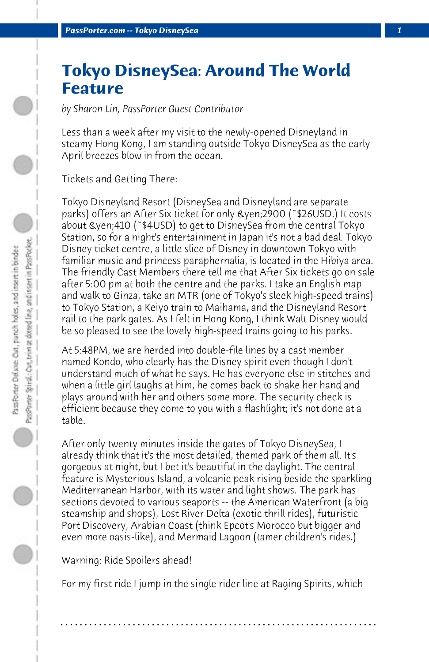## **Tokyo DisneySea: Around The World Feature**

*by Sharon Lin, PassPorter Guest Contributor*

Less than a week after my visit to the newly-opened Disneyland in steamy Hong Kong, I am standing outside Tokyo DisneySea as the early April breezes blow in from the ocean.

Tickets and Getting There:

Tokyo Disneyland Resort (DisneySea and Disneyland are separate parks) offers an After Six ticket for only ¥2900 (~\$26USD.) It costs about ¥410 (~\$4USD) to get to DisneySea from the central Tokyo Station, so for a night's entertainment in Japan it's not a bad deal. Tokyo Disney ticket centre, a little slice of Disney in downtown Tokyo with familiar music and princess paraphernalia, is located in the Hibiya area. The friendly Cast Members there tell me that After Six tickets go on sale after 5:00 pm at both the centre and the parks. I take an English map and walk to Ginza, take an MTR (one of Tokyo's sleek high-speed trains) to Tokyo Station, a Keiyo train to Maihama, and the Disneyland Resort rail to the park gates. As I felt in Hong Kong, I think Walt Disney would be so pleased to see the lovely high-speed trains going to his parks.

At 5:48PM, we are herded into double-file lines by a cast member named Kondo, who clearly has the Disney spirit even though I don't understand much of what he says. He has everyone else in stitches and when a little girl laughs at him, he comes back to shake her hand and plays around with her and others some more. The security check is efficient because they come to you with a flashlight; it's not done at a table.

After only twenty minutes inside the gates of Tokyo DisneySea, I already think that it's the most detailed, themed park of them all. It's gorgeous at night, but I bet it's beautiful in the daylight. The central feature is Mysterious Island, a volcanic peak rising beside the sparkling Mediterranean Harbor, with its water and light shows. The park has sections devoted to various seaports -- the American Waterfront (a big steamship and shops), Lost River Delta (exotic thrill rides), futuristic Port Discovery, Arabian Coast (think Epcot's Morocco but bigger and even more oasis-like), and Mermaid Lagoon (tamer children's rides.)

## Warning: Ride Spoilers ahead!

For my first ride I jump in the single rider line at Raging Spirits, which

**. . . . . . . . . . . . . . . . . . . . . . . . . . . . . . . . . . . . . . . . . . . . . . . . . . . . . . . . . . . . . . . . . .**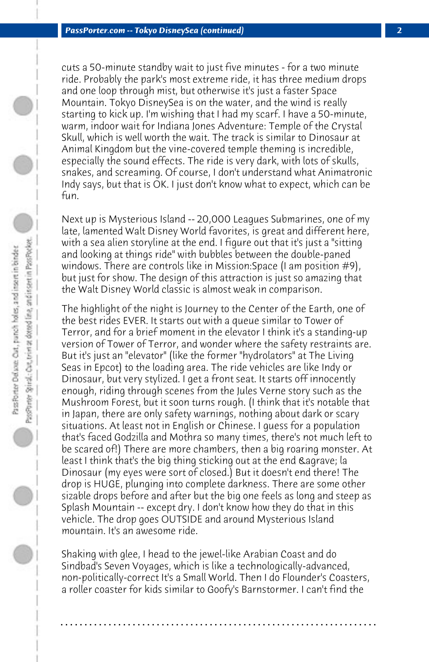cuts a 50-minute standby wait to just five minutes - for a two minute ride. Probably the park's most extreme ride, it has three medium drops and one loop through mist, but otherwise it's just a faster Space Mountain. Tokyo DisneySea is on the water, and the wind is really starting to kick up. I'm wishing that I had my scarf. I have a 50-minute, warm, indoor wait for Indiana Jones Adventure: Temple of the Crystal Skull, which is well worth the wait. The track is similar to Dinosaur at Animal Kingdom but the vine-covered temple theming is incredible, especially the sound effects. The ride is very dark, with lots of skulls, snakes, and screaming. Of course, I don't understand what Animatronic Indy says, but that is OK. I just don't know what to expect, which can be fun.

Next up is Mysterious Island -- 20,000 Leagues Submarines, one of my late, lamented Walt Disney World favorites, is great and different here, with a sea alien storyline at the end. I figure out that it's just a "sitting and looking at things ride" with bubbles between the double-paned windows. There are controls like in Mission:Space (I am position #9), but just for show. The design of this attraction is just so amazing that the Walt Disney World classic is almost weak in comparison.

The highlight of the night is Journey to the Center of the Earth, one of the best rides EVER. It starts out with a queue similar to Tower of Terror, and for a brief moment in the elevator I think it's a standing-up version of Tower of Terror, and wonder where the safety restraints are. But it's just an "elevator" (like the former "hydrolators" at The Living Seas in Epcot) to the loading area. The ride vehicles are like Indy or Dinosaur, but very stylized. I get a front seat. It starts off innocently enough, riding through scenes from the Jules Verne story such as the Mushroom Forest, but it soon turns rough. (I think that it's notable that in Japan, there are only safety warnings, nothing about dark or scary situations. At least not in English or Chinese. I guess for a population that's faced Godzilla and Mothra so many times, there's not much left to be scared of!) There are more chambers, then a big roaring monster. At least I think that's the big thing sticking out at the end  $\&$ agrave; la Dinosaur (my eyes were sort of closed.) But it doesn't end there! The drop is HUGE, plunging into complete darkness. There are some other sizable drops before and after but the big one feels as long and steep as Splash Mountain -- except dry. I don't know how they do that in this vehicle. The drop goes OUTSIDE and around Mysterious Island mountain. It's an awesome ride.

Shaking with glee, I head to the jewel-like Arabian Coast and do Sindbad's Seven Voyages, which is like a technologically-advanced, non-politically-correct It's a Small World. Then I do Flounder's Coasters, a roller coaster for kids similar to Goofy's Barnstormer. I can't find the

**. . . . . . . . . . . . . . . . . . . . . . . . . . . . . . . . . . . . . . . . . . . . . . . . . . . . . . . . . . . . . . . . . .**